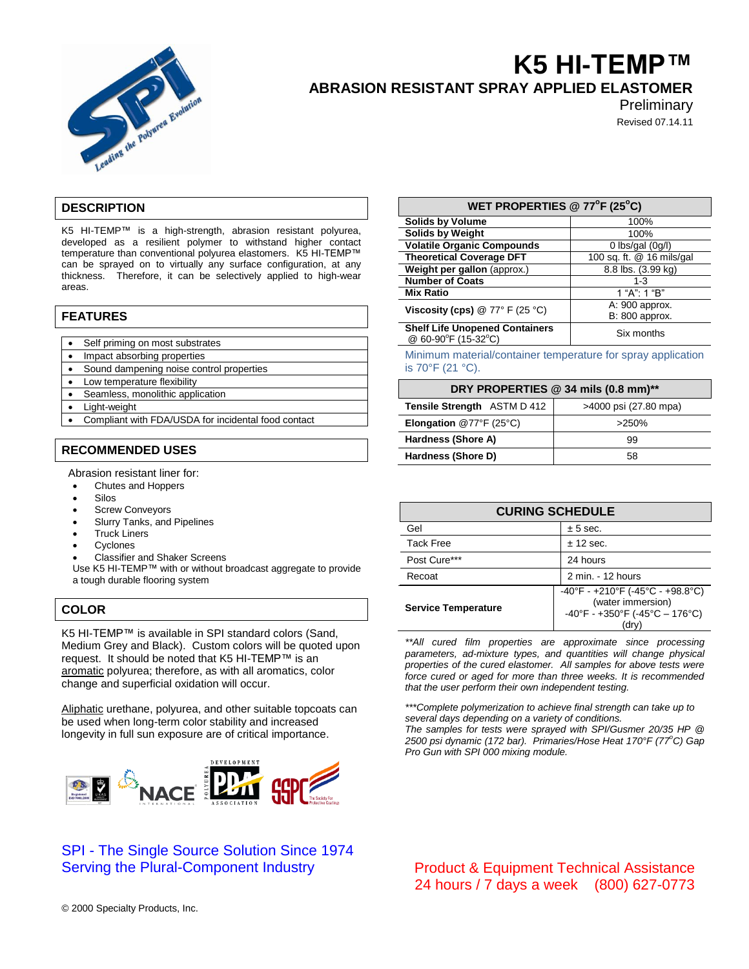

# **K5 HI-TEMP™ ABRASION RESISTANT SPRAY APPLIED ELASTOMER**

**Preliminary** 

Revised 07.14.11

# **DESCRIPTION**

K5 HI-TEMP™ is a high-strength, abrasion resistant polyurea, developed as a resilient polymer to withstand higher contact temperature than conventional polyurea elastomers. K5 HI-TEMP™ can be sprayed on to virtually any surface configuration, at any thickness. Therefore, it can be selectively applied to high-wear areas.

#### **FEATURES**

- Self priming on most substrates
- Impact absorbing properties
- Sound dampening noise control properties
- Low temperature flexibility
- Seamless, monolithic application
- Light-weight
- Compliant with FDA/USDA for incidental food contact

# **RECOMMENDED USES**

Abrasion resistant liner for:

- Chutes and Hoppers
- Silos
- **•** Screw Conveyors
- Slurry Tanks, and Pipelines
- Truck Liners
- Cyclones
- Classifier and Shaker Screens

Use K5 HI-TEMP™ with or without broadcast aggregate to provide a tough durable flooring system

# **COLOR**

K5 HI-TEMP™ is available in SPI standard colors (Sand, Medium Grey and Black). Custom colors will be quoted upon request. It should be noted that K5 HI-TEMP™ is an aromatic polyurea; therefore, as with all aromatics, color change and superficial oxidation will occur.

Aliphatic urethane, polyurea, and other suitable topcoats can be used when long-term color stability and increased longevity in full sun exposure are of critical importance.



# SPI - The Single Source Solution Since 1974 Serving the Plural-Component Industry

| WET PROPERTIES @ 77°F (25°C)                                 |                           |
|--------------------------------------------------------------|---------------------------|
| <b>Solids by Volume</b>                                      | 100%                      |
| <b>Solids by Weight</b>                                      | 100%                      |
| <b>Volatile Organic Compounds</b>                            | 0 lbs/gal $(0g/l)$        |
| <b>Theoretical Coverage DFT</b>                              | 100 sq. ft. @ 16 mils/gal |
| Weight per gallon (approx.)                                  | 8.8 lbs. (3.99 kg)        |
| <b>Number of Coats</b>                                       | $1 - 3$                   |
| <b>Mix Ratio</b>                                             | 1 "A": 1 "B"              |
| Viscosity (cps) $@ 77° F (25 °C)$                            | A: 900 approx.            |
|                                                              | B: 800 approx.            |
| <b>Shelf Life Unopened Containers</b><br>@ 60-90°F (15-32°C) | Six months                |

Minimum material/container temperature for spray application is 70°F (21 °C).

| DRY PROPERTIES @ 34 mils (0.8 mm)**                |                       |  |
|----------------------------------------------------|-----------------------|--|
| <b>Tensile Strength ASTM D 412</b>                 | >4000 psi (27.80 mpa) |  |
| <b>Elongation</b> @77 $\degree$ F (25 $\degree$ C) | >250%                 |  |
| Hardness (Shore A)                                 | 99                    |  |
| Hardness (Shore D)                                 | 58                    |  |

| <b>CURING SCHEDULE</b>     |                                                                                                                                             |
|----------------------------|---------------------------------------------------------------------------------------------------------------------------------------------|
| Gel                        | $± 5$ sec.                                                                                                                                  |
| <b>Tack Free</b>           | $± 12$ sec.                                                                                                                                 |
| Post Cure***               | 24 hours                                                                                                                                    |
| Recoat                     | 2 min. - 12 hours                                                                                                                           |
| <b>Service Temperature</b> | $-40^{\circ}$ F - +210 $^{\circ}$ F (-45 $^{\circ}$ C - +98.8 $^{\circ}$ C)<br>(water immersion)<br>-40°F - +350°F (-45°C - 176°C)<br>(drv) |

*\*\*All cured film properties are approximate since processing parameters, ad-mixture types, and quantities will change physical properties of the cured elastomer. All samples for above tests were force cured or aged for more than three weeks. It is recommended that the user perform their own independent testing.*

*\*\*\*Complete polymerization to achieve final strength can take up to several days depending on a variety of conditions. The samples for tests were sprayed with SPI/Gusmer 20/35 HP @ 2500 psi dynamic (172 bar). Primaries/Hose Heat 170°F (77<sup>o</sup>C) Gap* 

*Pro Gun with SPI 000 mixing module.*

Product & Equipment Technical Assistance 24 hours / 7 days a week (800) 627-0773